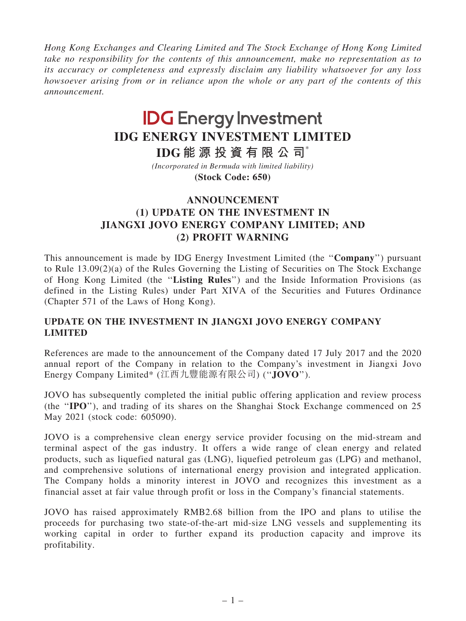Hong Kong Exchanges and Clearing Limited and The Stock Exchange of Hong Kong Limited take no responsibility for the contents of this announcement, make no representation as to its accuracy or completeness and expressly disclaim any liability whatsoever for any loss howsoever arising from or in reliance upon the whole or any part of the contents of this announcement.

## **IDG Energy Investment IDG ENERGY INVESTMENT LIMITED**

**IDG 能 源 投 資 有 限 公 司**\*

**(Stock Code: 650)** *(Incorporated in Bermuda with limited liability)*

## ANNOUNCEMENT (1) UPDATE ON THE INVESTMENT IN JIANGXI JOVO ENERGY COMPANY LIMITED; AND (2) PROFIT WARNING

This announcement is made by IDG Energy Investment Limited (the ''Company'') pursuant to Rule 13.09(2)(a) of the Rules Governing the Listing of Securities on The Stock Exchange of Hong Kong Limited (the ''Listing Rules'') and the Inside Information Provisions (as defined in the Listing Rules) under Part XIVA of the Securities and Futures Ordinance (Chapter 571 of the Laws of Hong Kong).

## UPDATE ON THE INVESTMENT IN JIANGXI JOVO ENERGY COMPANY LIMITED

References are made to the announcement of the Company dated 17 July 2017 and the 2020 annual report of the Company in relation to the Company's investment in Jiangxi Jovo Energy Company Limited\* (江西九豐能源有限公司) (''JOVO'').

JOVO has subsequently completed the initial public offering application and review process (the ''IPO''), and trading of its shares on the Shanghai Stock Exchange commenced on 25 May 2021 (stock code: 605090).

JOVO is a comprehensive clean energy service provider focusing on the mid-stream and terminal aspect of the gas industry. It offers a wide range of clean energy and related products, such as liquefied natural gas (LNG), liquefied petroleum gas (LPG) and methanol, and comprehensive solutions of international energy provision and integrated application. The Company holds a minority interest in JOVO and recognizes this investment as a financial asset at fair value through profit or loss in the Company's financial statements.

JOVO has raised approximately RMB2.68 billion from the IPO and plans to utilise the proceeds for purchasing two state-of-the-art mid-size LNG vessels and supplementing its working capital in order to further expand its production capacity and improve its profitability.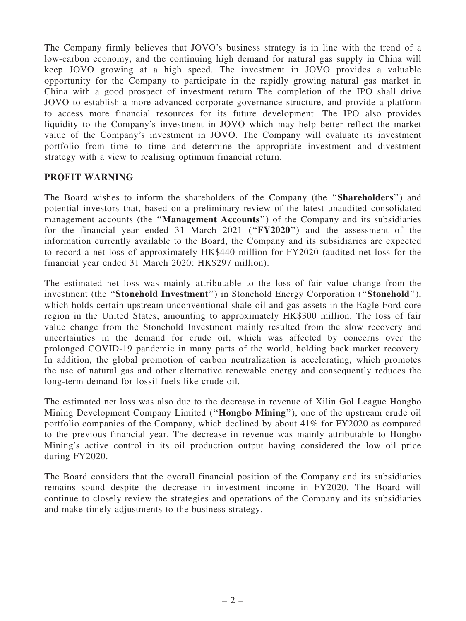The Company firmly believes that JOVO's business strategy is in line with the trend of a low-carbon economy, and the continuing high demand for natural gas supply in China will keep JOVO growing at a high speed. The investment in JOVO provides a valuable opportunity for the Company to participate in the rapidly growing natural gas market in China with a good prospect of investment return The completion of the IPO shall drive JOVO to establish a more advanced corporate governance structure, and provide a platform to access more financial resources for its future development. The IPO also provides liquidity to the Company's investment in JOVO which may help better reflect the market value of the Company's investment in JOVO. The Company will evaluate its investment portfolio from time to time and determine the appropriate investment and divestment strategy with a view to realising optimum financial return.

## PROFIT WARNING

The Board wishes to inform the shareholders of the Company (the ''Shareholders'') and potential investors that, based on a preliminary review of the latest unaudited consolidated management accounts (the "Management Accounts") of the Company and its subsidiaries for the financial year ended 31 March 2021 (''FY2020'') and the assessment of the information currently available to the Board, the Company and its subsidiaries are expected to record a net loss of approximately HK\$440 million for FY2020 (audited net loss for the financial year ended 31 March 2020: HK\$297 million).

The estimated net loss was mainly attributable to the loss of fair value change from the investment (the "Stonehold Investment") in Stonehold Energy Corporation ("Stonehold"), which holds certain upstream unconventional shale oil and gas assets in the Eagle Ford core region in the United States, amounting to approximately HK\$300 million. The loss of fair value change from the Stonehold Investment mainly resulted from the slow recovery and uncertainties in the demand for crude oil, which was affected by concerns over the prolonged COVID-19 pandemic in many parts of the world, holding back market recovery. In addition, the global promotion of carbon neutralization is accelerating, which promotes the use of natural gas and other alternative renewable energy and consequently reduces the long-term demand for fossil fuels like crude oil.

The estimated net loss was also due to the decrease in revenue of Xilin Gol League Hongbo Mining Development Company Limited (''Hongbo Mining''), one of the upstream crude oil portfolio companies of the Company, which declined by about 41% for FY2020 as compared to the previous financial year. The decrease in revenue was mainly attributable to Hongbo Mining's active control in its oil production output having considered the low oil price during FY2020.

The Board considers that the overall financial position of the Company and its subsidiaries remains sound despite the decrease in investment income in FY2020. The Board will continue to closely review the strategies and operations of the Company and its subsidiaries and make timely adjustments to the business strategy.